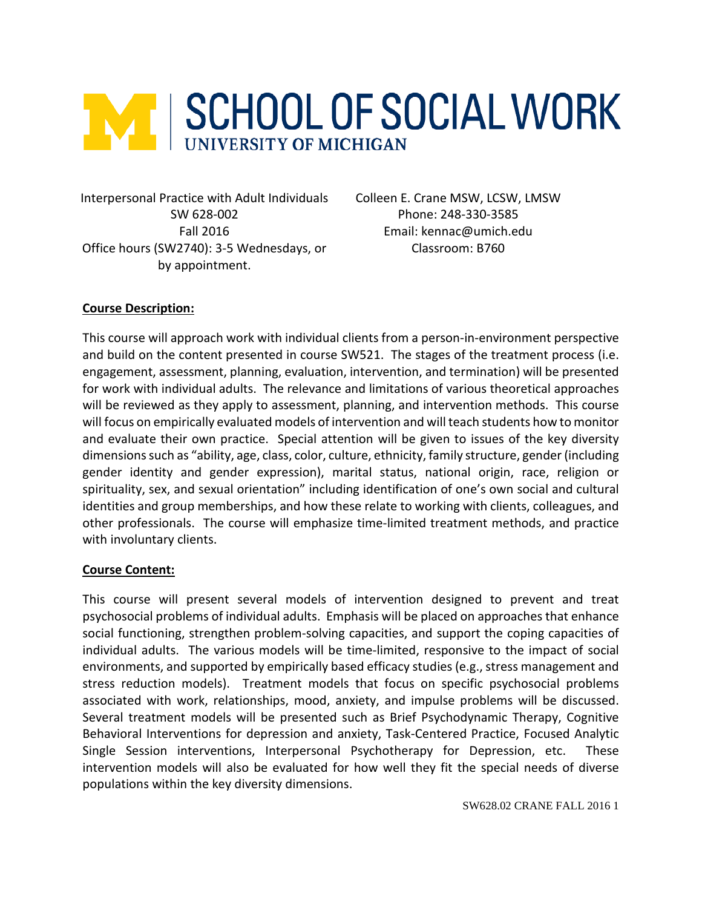

Interpersonal Practice with Adult Individuals Colleen E. Crane MSW, LCSW, LMSW Office hours (SW2740): 3-5 Wednesdays, or by appointment.

SW 628-002 Phone: 248-330-3585 Fall 2016 Email: kennac@umich.edu Classroom: B760

## **Course Description:**

This course will approach work with individual clients from a person-in-environment perspective and build on the content presented in course SW521. The stages of the treatment process (i.e. engagement, assessment, planning, evaluation, intervention, and termination) will be presented for work with individual adults. The relevance and limitations of various theoretical approaches will be reviewed as they apply to assessment, planning, and intervention methods. This course will focus on empirically evaluated models of intervention and will teach students how to monitor and evaluate their own practice. Special attention will be given to issues of the key diversity dimensions such as "ability, age, class, color, culture, ethnicity, family structure, gender (including gender identity and gender expression), marital status, national origin, race, religion or spirituality, sex, and sexual orientation" including identification of one's own social and cultural identities and group memberships, and how these relate to working with clients, colleagues, and other professionals. The course will emphasize time-limited treatment methods, and practice with involuntary clients.

### **Course Content:**

This course will present several models of intervention designed to prevent and treat psychosocial problems of individual adults. Emphasis will be placed on approaches that enhance social functioning, strengthen problem-solving capacities, and support the coping capacities of individual adults. The various models will be time-limited, responsive to the impact of social environments, and supported by empirically based efficacy studies (e.g., stress management and stress reduction models). Treatment models that focus on specific psychosocial problems associated with work, relationships, mood, anxiety, and impulse problems will be discussed. Several treatment models will be presented such as Brief Psychodynamic Therapy, Cognitive Behavioral Interventions for depression and anxiety, Task-Centered Practice, Focused Analytic Single Session interventions, Interpersonal Psychotherapy for Depression, etc. These intervention models will also be evaluated for how well they fit the special needs of diverse populations within the key diversity dimensions.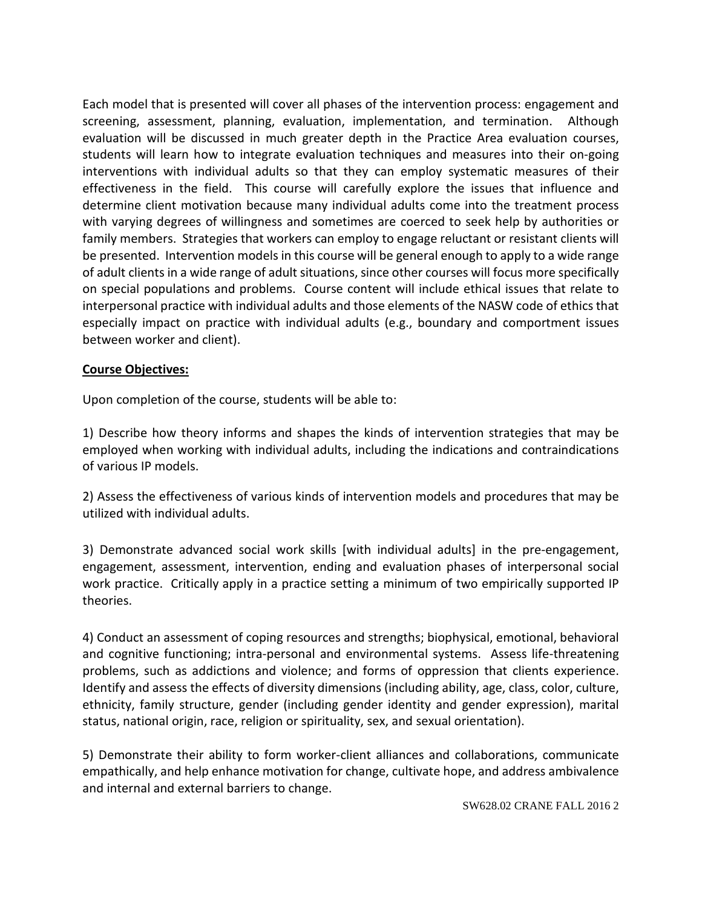Each model that is presented will cover all phases of the intervention process: engagement and screening, assessment, planning, evaluation, implementation, and termination. Although evaluation will be discussed in much greater depth in the Practice Area evaluation courses, students will learn how to integrate evaluation techniques and measures into their on-going interventions with individual adults so that they can employ systematic measures of their effectiveness in the field. This course will carefully explore the issues that influence and determine client motivation because many individual adults come into the treatment process with varying degrees of willingness and sometimes are coerced to seek help by authorities or family members. Strategies that workers can employ to engage reluctant or resistant clients will be presented. Intervention models in this course will be general enough to apply to a wide range of adult clients in a wide range of adult situations, since other courses will focus more specifically on special populations and problems. Course content will include ethical issues that relate to interpersonal practice with individual adults and those elements of the NASW code of ethics that especially impact on practice with individual adults (e.g., boundary and comportment issues between worker and client).

### **Course Objectives:**

Upon completion of the course, students will be able to:

1) Describe how theory informs and shapes the kinds of intervention strategies that may be employed when working with individual adults, including the indications and contraindications of various IP models.

2) Assess the effectiveness of various kinds of intervention models and procedures that may be utilized with individual adults.

3) Demonstrate advanced social work skills [with individual adults] in the pre-engagement, engagement, assessment, intervention, ending and evaluation phases of interpersonal social work practice. Critically apply in a practice setting a minimum of two empirically supported IP theories.

4) Conduct an assessment of coping resources and strengths; biophysical, emotional, behavioral and cognitive functioning; intra-personal and environmental systems. Assess life-threatening problems, such as addictions and violence; and forms of oppression that clients experience. Identify and assess the effects of diversity dimensions (including ability, age, class, color, culture, ethnicity, family structure, gender (including gender identity and gender expression), marital status, national origin, race, religion or spirituality, sex, and sexual orientation).

5) Demonstrate their ability to form worker-client alliances and collaborations, communicate empathically, and help enhance motivation for change, cultivate hope, and address ambivalence and internal and external barriers to change.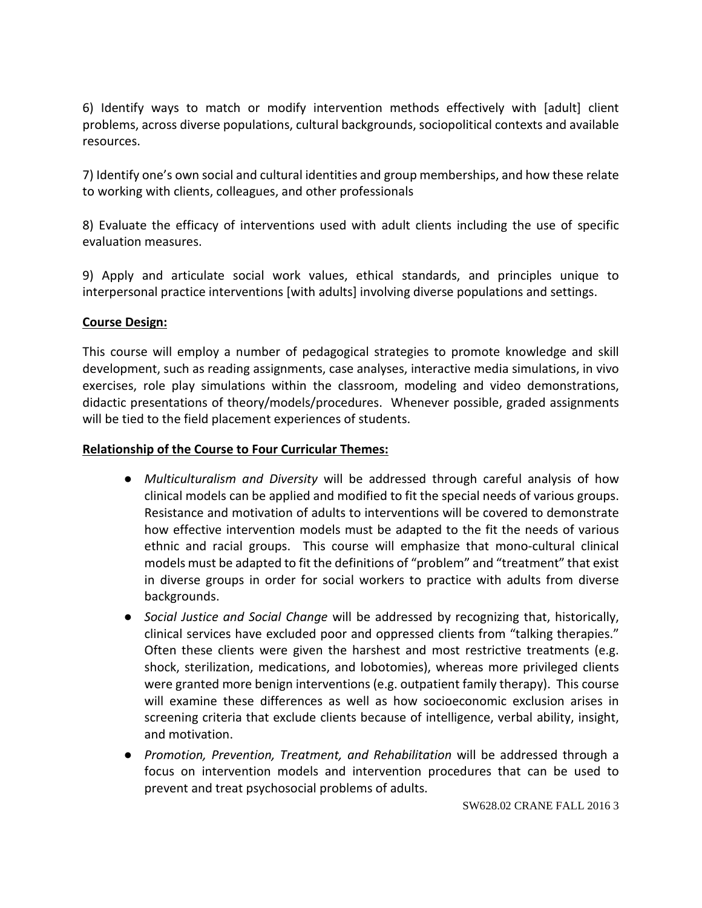6) Identify ways to match or modify intervention methods effectively with [adult] client problems, across diverse populations, cultural backgrounds, sociopolitical contexts and available resources.

7) Identify one's own social and cultural identities and group memberships, and how these relate to working with clients, colleagues, and other professionals

8) Evaluate the efficacy of interventions used with adult clients including the use of specific evaluation measures.

9) Apply and articulate social work values, ethical standards, and principles unique to interpersonal practice interventions [with adults] involving diverse populations and settings.

## **Course Design:**

This course will employ a number of pedagogical strategies to promote knowledge and skill development, such as reading assignments, case analyses, interactive media simulations, in vivo exercises, role play simulations within the classroom, modeling and video demonstrations, didactic presentations of theory/models/procedures. Whenever possible, graded assignments will be tied to the field placement experiences of students.

### **Relationship of the Course to Four Curricular Themes:**

- *Multiculturalism and Diversity* will be addressed through careful analysis of how clinical models can be applied and modified to fit the special needs of various groups. Resistance and motivation of adults to interventions will be covered to demonstrate how effective intervention models must be adapted to the fit the needs of various ethnic and racial groups. This course will emphasize that mono-cultural clinical models must be adapted to fit the definitions of "problem" and "treatment" that exist in diverse groups in order for social workers to practice with adults from diverse backgrounds.
- *Social Justice and Social Change* will be addressed by recognizing that, historically, clinical services have excluded poor and oppressed clients from "talking therapies." Often these clients were given the harshest and most restrictive treatments (e.g. shock, sterilization, medications, and lobotomies), whereas more privileged clients were granted more benign interventions (e.g. outpatient family therapy). This course will examine these differences as well as how socioeconomic exclusion arises in screening criteria that exclude clients because of intelligence, verbal ability, insight, and motivation.
- *Promotion, Prevention, Treatment, and Rehabilitation* will be addressed through a focus on intervention models and intervention procedures that can be used to prevent and treat psychosocial problems of adults.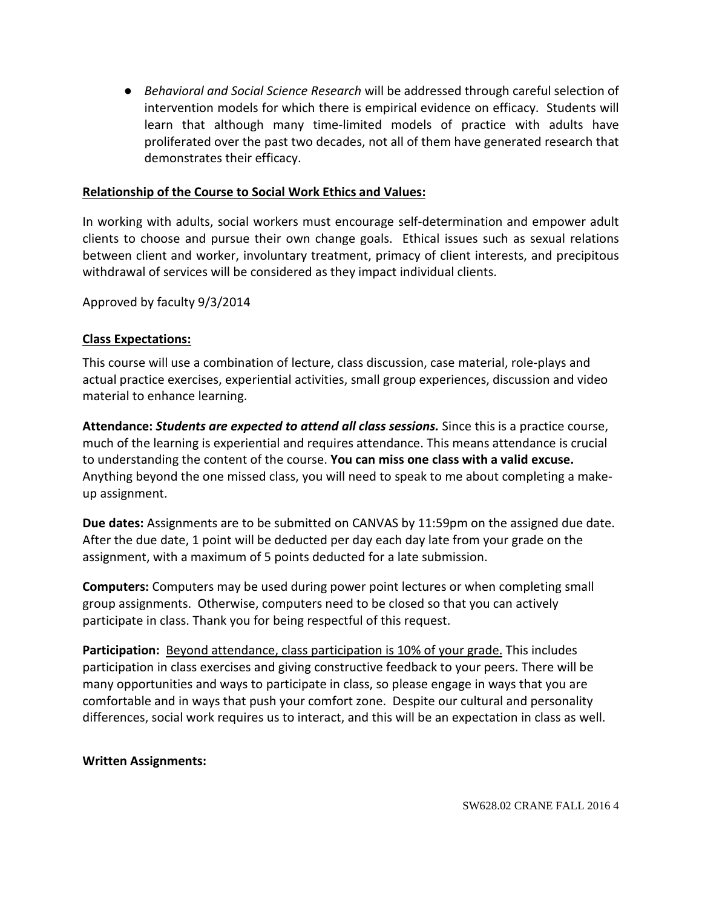● *Behavioral and Social Science Research* will be addressed through careful selection of intervention models for which there is empirical evidence on efficacy. Students will learn that although many time-limited models of practice with adults have proliferated over the past two decades, not all of them have generated research that demonstrates their efficacy.

## **Relationship of the Course to Social Work Ethics and Values:**

In working with adults, social workers must encourage self-determination and empower adult clients to choose and pursue their own change goals. Ethical issues such as sexual relations between client and worker, involuntary treatment, primacy of client interests, and precipitous withdrawal of services will be considered as they impact individual clients.

Approved by faculty 9/3/2014

## **Class Expectations:**

This course will use a combination of lecture, class discussion, case material, role-plays and actual practice exercises, experiential activities, small group experiences, discussion and video material to enhance learning.

**Attendance:** *Students are expected to attend all class sessions.* Since this is a practice course, much of the learning is experiential and requires attendance. This means attendance is crucial to understanding the content of the course. **You can miss one class with a valid excuse.** Anything beyond the one missed class, you will need to speak to me about completing a makeup assignment.

**Due dates:** Assignments are to be submitted on CANVAS by 11:59pm on the assigned due date. After the due date, 1 point will be deducted per day each day late from your grade on the assignment, with a maximum of 5 points deducted for a late submission.

**Computers:** Computers may be used during power point lectures or when completing small group assignments. Otherwise, computers need to be closed so that you can actively participate in class. Thank you for being respectful of this request.

**Participation:** Beyond attendance, class participation is 10% of your grade. This includes participation in class exercises and giving constructive feedback to your peers. There will be many opportunities and ways to participate in class, so please engage in ways that you are comfortable and in ways that push your comfort zone. Despite our cultural and personality differences, social work requires us to interact, and this will be an expectation in class as well.

### **Written Assignments:**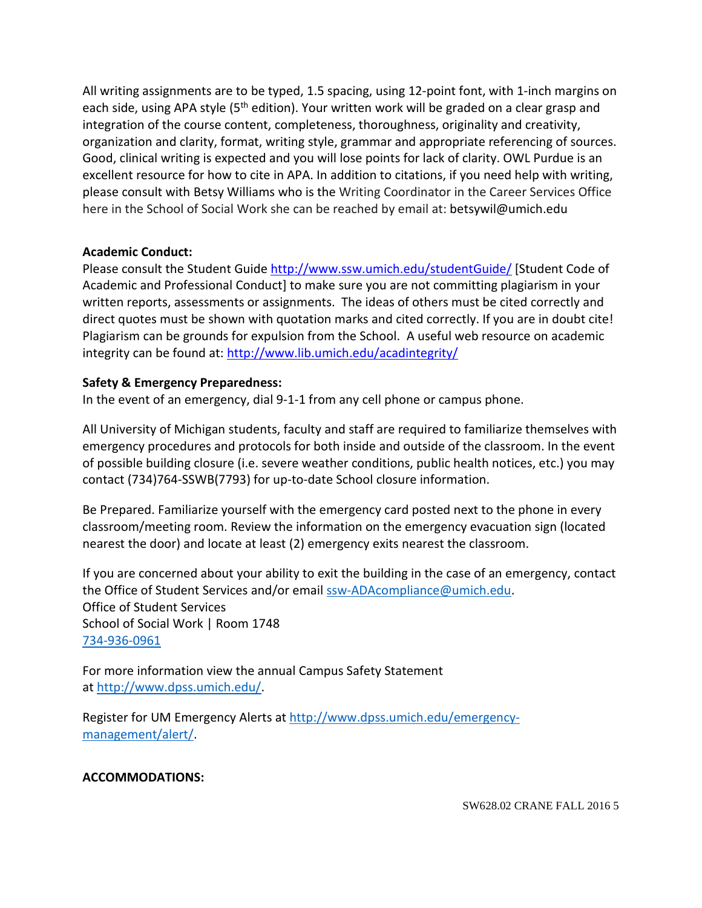All writing assignments are to be typed, 1.5 spacing, using 12-point font, with 1-inch margins on each side, using APA style (5<sup>th</sup> edition). Your written work will be graded on a clear grasp and integration of the course content, completeness, thoroughness, originality and creativity, organization and clarity, format, writing style, grammar and appropriate referencing of sources. Good, clinical writing is expected and you will lose points for lack of clarity. OWL Purdue is an excellent resource for how to cite in APA. In addition to citations, if you need help with writing, please consult with Betsy Williams who is the Writing Coordinator in the Career Services Office here in the School of Social Work she can be reached by email at: betsywil@umich.edu

## **Academic Conduct:**

Please consult the Student Guide<http://www.ssw.umich.edu/studentGuide/> [Student Code of Academic and Professional Conduct] to make sure you are not committing plagiarism in your written reports, assessments or assignments. The ideas of others must be cited correctly and direct quotes must be shown with quotation marks and cited correctly. If you are in doubt cite! Plagiarism can be grounds for expulsion from the School. A useful web resource on academic integrity can be found at:<http://www.lib.umich.edu/acadintegrity/>

## **Safety & Emergency Preparedness:**

In the event of an emergency, dial 9-1-1 from any cell phone or campus phone.

All University of Michigan students, faculty and staff are required to familiarize themselves with emergency procedures and protocols for both inside and outside of the classroom. In the event of possible building closure (i.e. severe weather conditions, public health notices, etc.) you may contact (734)764-SSWB(7793) for up-to-date School closure information.

Be Prepared. Familiarize yourself with the emergency card posted next to the phone in every classroom/meeting room. Review the information on the emergency evacuation sign (located nearest the door) and locate at least (2) emergency exits nearest the classroom.

If you are concerned about your ability to exit the building in the case of an emergency, contact the Office of Student Services and/or email [ssw-ADAcompliance@umich.edu.](mailto:ssw-ADAcompliance@umich.edu) Office of Student Services School of Social Work | Room 1748 734-936-0961

For more information view the annual Campus Safety Statement at [http://www.dpss.umich.edu/.](http://www.dpss.umich.edu/)

Register for UM Emergency Alerts at [http://www.dpss.umich.edu/emergency](http://www.dpss.umich.edu/emergency-management/alert/)[management/alert/.](http://www.dpss.umich.edu/emergency-management/alert/)

### **ACCOMMODATIONS:**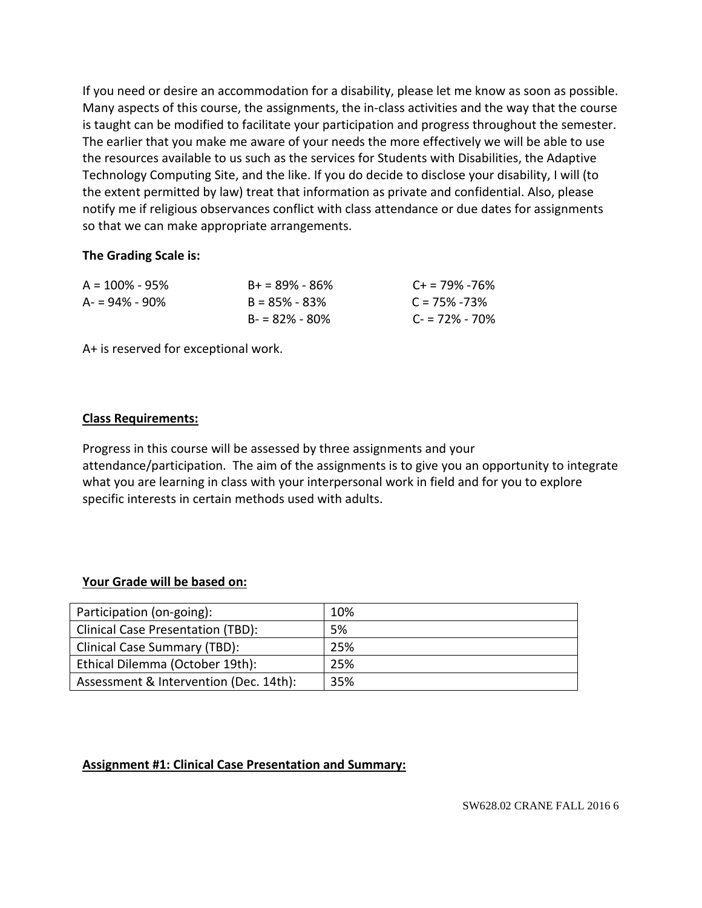If you need or desire an accommodation for a disability, please let me know as soon as possible. Many aspects of this course, the assignments, the in-class activities and the way that the course is taught can be modified to facilitate your participation and progress throughout the semester. The earlier that you make me aware of your needs the more effectively we will be able to use the resources available to us such as the services for Students with Disabilities, the Adaptive Technology Computing Site, and the like. If you do decide to disclose your disability, I will (to the extent permitted by law) treat that information as private and confidential. Also, please notify me if religious observances conflict with class attendance or due dates for assignments so that we can make appropriate arrangements.

#### **The Grading Scale is:**

| $A = 100\% - 95\%$ | $B + 89\% - 86\%$ | $C_{\pm}$ = 79% -76% |
|--------------------|-------------------|----------------------|
| $A = 94\% - 90\%$  | $B = 85\% - 83\%$ | $C = 75\% - 73\%$    |
|                    | $B = 82\% - 80\%$ | $C = 72\% - 70\%$    |

A+ is reserved for exceptional work.

#### **Class Requirements:**

Progress in this course will be assessed by three assignments and your attendance/participation. The aim of the assignments is to give you an opportunity to integrate what you are learning in class with your interpersonal work in field and for you to explore specific interests in certain methods used with adults.

### **Your Grade will be based on:**

| Participation (on-going):                | 10% |
|------------------------------------------|-----|
| <b>Clinical Case Presentation (TBD):</b> | 5%  |
| Clinical Case Summary (TBD):             | 25% |
| Ethical Dilemma (October 19th):          | 25% |
| Assessment & Intervention (Dec. 14th):   | 35% |

### **Assignment #1: Clinical Case Presentation and Summary:**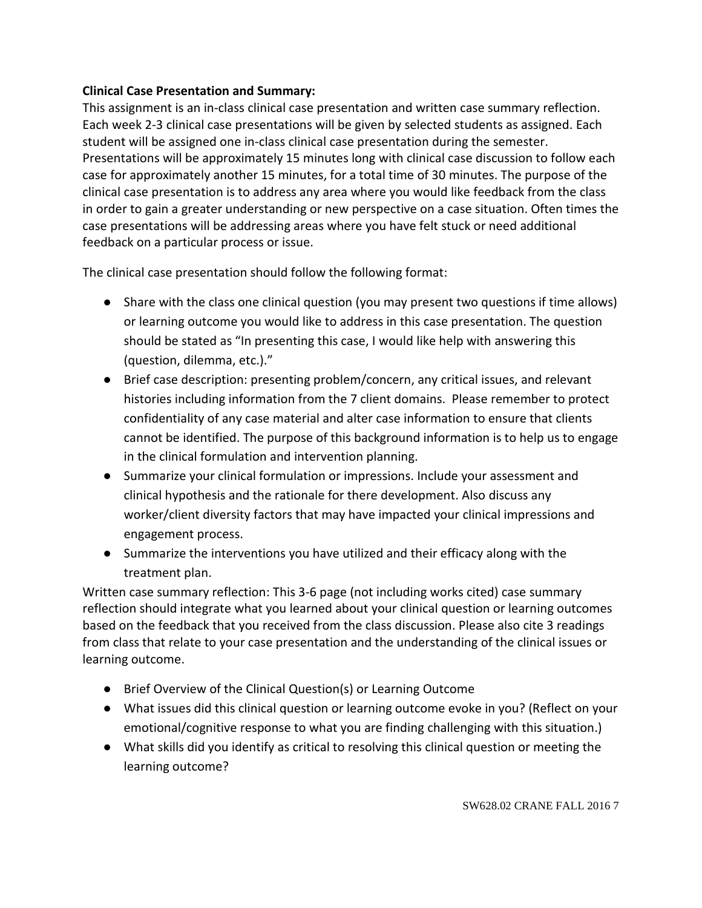# **Clinical Case Presentation and Summary:**

This assignment is an in-class clinical case presentation and written case summary reflection. Each week 2-3 clinical case presentations will be given by selected students as assigned. Each student will be assigned one in-class clinical case presentation during the semester. Presentations will be approximately 15 minutes long with clinical case discussion to follow each case for approximately another 15 minutes, for a total time of 30 minutes. The purpose of the clinical case presentation is to address any area where you would like feedback from the class in order to gain a greater understanding or new perspective on a case situation. Often times the case presentations will be addressing areas where you have felt stuck or need additional feedback on a particular process or issue.

The clinical case presentation should follow the following format:

- Share with the class one clinical question (you may present two questions if time allows) or learning outcome you would like to address in this case presentation. The question should be stated as "In presenting this case, I would like help with answering this (question, dilemma, etc.)."
- Brief case description: presenting problem/concern, any critical issues, and relevant histories including information from the 7 client domains. Please remember to protect confidentiality of any case material and alter case information to ensure that clients cannot be identified. The purpose of this background information is to help us to engage in the clinical formulation and intervention planning.
- Summarize your clinical formulation or impressions. Include your assessment and clinical hypothesis and the rationale for there development. Also discuss any worker/client diversity factors that may have impacted your clinical impressions and engagement process.
- Summarize the interventions you have utilized and their efficacy along with the treatment plan.

Written case summary reflection: This 3-6 page (not including works cited) case summary reflection should integrate what you learned about your clinical question or learning outcomes based on the feedback that you received from the class discussion. Please also cite 3 readings from class that relate to your case presentation and the understanding of the clinical issues or learning outcome.

- Brief Overview of the Clinical Question(s) or Learning Outcome
- What issues did this clinical question or learning outcome evoke in you? (Reflect on your emotional/cognitive response to what you are finding challenging with this situation.)
- What skills did you identify as critical to resolving this clinical question or meeting the learning outcome?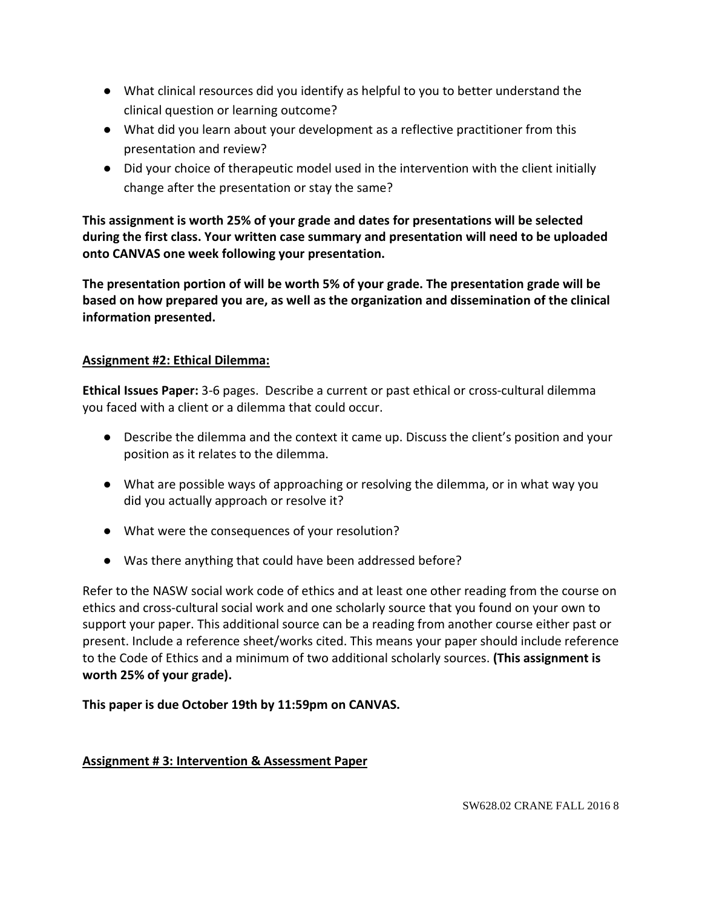- What clinical resources did you identify as helpful to you to better understand the clinical question or learning outcome?
- What did you learn about your development as a reflective practitioner from this presentation and review?
- Did your choice of therapeutic model used in the intervention with the client initially change after the presentation or stay the same?

**This assignment is worth 25% of your grade and dates for presentations will be selected during the first class. Your written case summary and presentation will need to be uploaded onto CANVAS one week following your presentation.**

**The presentation portion of will be worth 5% of your grade. The presentation grade will be based on how prepared you are, as well as the organization and dissemination of the clinical information presented.**

# **Assignment #2: Ethical Dilemma:**

**Ethical Issues Paper:** 3-6 pages. Describe a current or past ethical or cross-cultural dilemma you faced with a client or a dilemma that could occur.

- Describe the dilemma and the context it came up. Discuss the client's position and your position as it relates to the dilemma.
- What are possible ways of approaching or resolving the dilemma, or in what way you did you actually approach or resolve it?
- What were the consequences of your resolution?
- Was there anything that could have been addressed before?

Refer to the NASW social work code of ethics and at least one other reading from the course on ethics and cross-cultural social work and one scholarly source that you found on your own to support your paper. This additional source can be a reading from another course either past or present. Include a reference sheet/works cited. This means your paper should include reference to the Code of Ethics and a minimum of two additional scholarly sources. **(This assignment is worth 25% of your grade).** 

**This paper is due October 19th by 11:59pm on CANVAS.**

# **Assignment # 3: Intervention & Assessment Paper**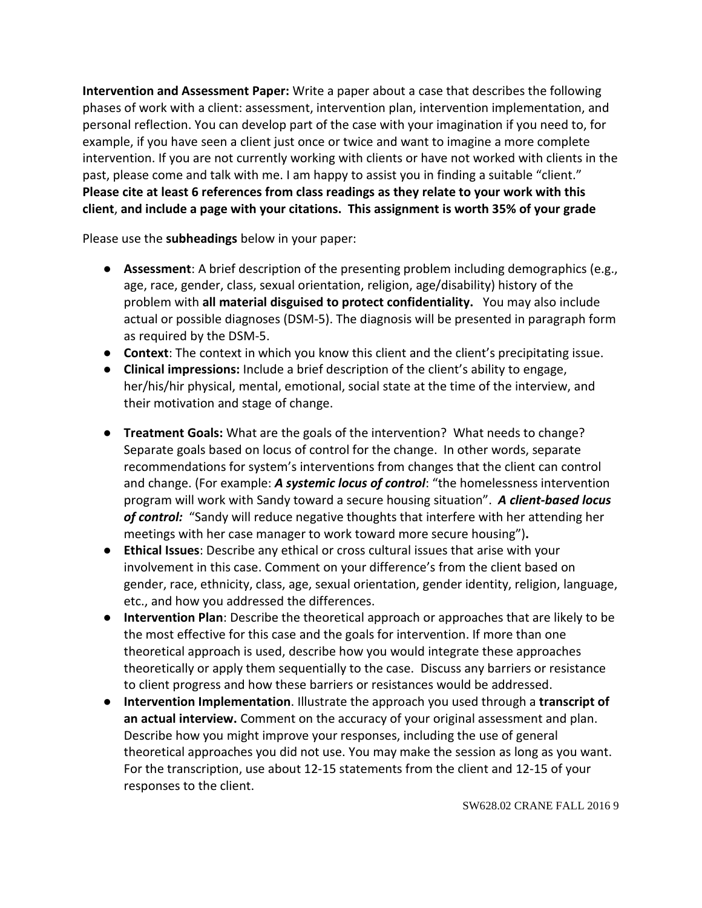**Intervention and Assessment Paper:** Write a paper about a case that describes the following phases of work with a client: assessment, intervention plan, intervention implementation, and personal reflection. You can develop part of the case with your imagination if you need to, for example, if you have seen a client just once or twice and want to imagine a more complete intervention. If you are not currently working with clients or have not worked with clients in the past, please come and talk with me. I am happy to assist you in finding a suitable "client." **Please cite at least 6 references from class readings as they relate to your work with this client**, **and include a page with your citations. This assignment is worth 35% of your grade** 

Please use the **subheadings** below in your paper:

- **Assessment**: A brief description of the presenting problem including demographics (e.g., age, race, gender, class, sexual orientation, religion, age/disability) history of the problem with **all material disguised to protect confidentiality.** You may also include actual or possible diagnoses (DSM-5). The diagnosis will be presented in paragraph form as required by the DSM-5.
- **Context**: The context in which you know this client and the client's precipitating issue.
- **Clinical impressions:** Include a brief description of the client's ability to engage, her/his/hir physical, mental, emotional, social state at the time of the interview, and their motivation and stage of change.
- **Treatment Goals:** What are the goals of the intervention? What needs to change? Separate goals based on locus of control for the change. In other words, separate recommendations for system's interventions from changes that the client can control and change. (For example: *A systemic locus of control*: "the homelessness intervention program will work with Sandy toward a secure housing situation". *A client-based locus of control:* "Sandy will reduce negative thoughts that interfere with her attending her meetings with her case manager to work toward more secure housing")**.**
- **Ethical Issues**: Describe any ethical or cross cultural issues that arise with your involvement in this case. Comment on your difference's from the client based on gender, race, ethnicity, class, age, sexual orientation, gender identity, religion, language, etc., and how you addressed the differences.
- **Intervention Plan**: Describe the theoretical approach or approaches that are likely to be the most effective for this case and the goals for intervention. If more than one theoretical approach is used, describe how you would integrate these approaches theoretically or apply them sequentially to the case. Discuss any barriers or resistance to client progress and how these barriers or resistances would be addressed.
- **Intervention Implementation**. Illustrate the approach you used through a **transcript of an actual interview.** Comment on the accuracy of your original assessment and plan. Describe how you might improve your responses, including the use of general theoretical approaches you did not use. You may make the session as long as you want. For the transcription, use about 12-15 statements from the client and 12-15 of your responses to the client.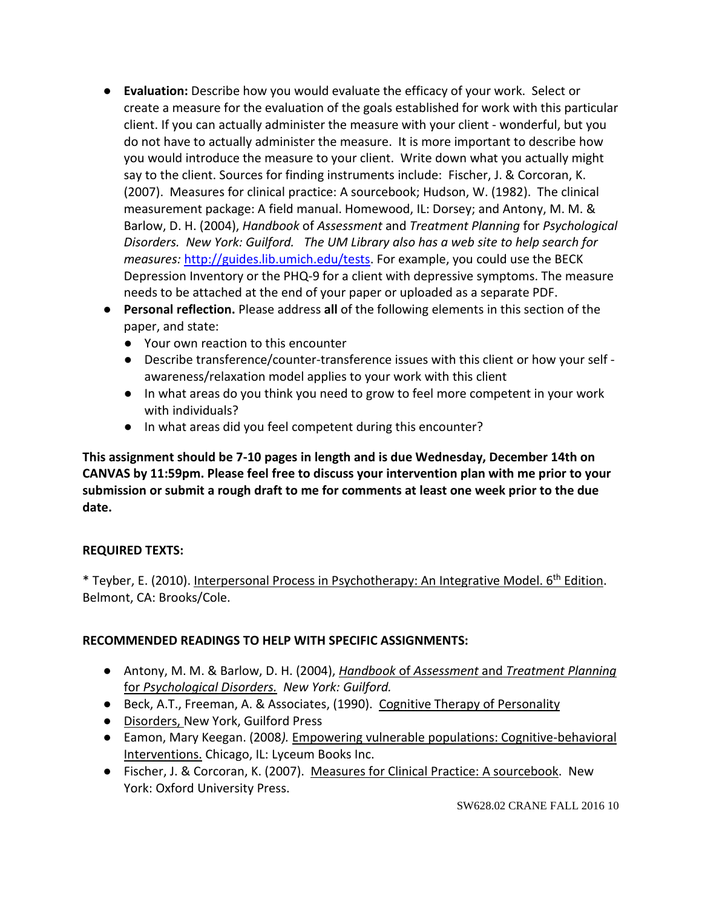- **Evaluation:** Describe how you would evaluate the efficacy of your work. Select or create a measure for the evaluation of the goals established for work with this particular client. If you can actually administer the measure with your client - wonderful, but you do not have to actually administer the measure. It is more important to describe how you would introduce the measure to your client. Write down what you actually might say to the client. Sources for finding instruments include: Fischer, J. & Corcoran, K. (2007). Measures for clinical practice: A sourcebook; Hudson, W. (1982). The clinical measurement package: A field manual. Homewood, IL: Dorsey; and Antony, M. M. & Barlow, D. H. (2004), *Handbook* of *Assessment* and *Treatment Planning* for *Psychological Disorders. New York: Guilford. The UM Library also has a web site to help search for measures:* [http://guides.lib.umich.edu/tests.](http://guides.lib.umich.edu/tests) For example, you could use the BECK Depression Inventory or the PHQ-9 for a client with depressive symptoms. The measure needs to be attached at the end of your paper or uploaded as a separate PDF.
- **Personal reflection.** Please address **all** of the following elements in this section of the paper, and state:
	- Your own reaction to this encounter
	- Describe transference/counter-transference issues with this client or how your self awareness/relaxation model applies to your work with this client
	- In what areas do you think you need to grow to feel more competent in your work with individuals?
	- In what areas did you feel competent during this encounter?

**This assignment should be 7-10 pages in length and is due Wednesday, December 14th on CANVAS by 11:59pm. Please feel free to discuss your intervention plan with me prior to your submission or submit a rough draft to me for comments at least one week prior to the due date.** 

# **REQUIRED TEXTS:**

\* Teyber, E. (2010). Interpersonal Process in Psychotherapy: An Integrative Model. 6<sup>th</sup> Edition. Belmont, CA: Brooks/Cole.

# **RECOMMENDED READINGS TO HELP WITH SPECIFIC ASSIGNMENTS:**

- Antony, M. M. & Barlow, D. H. (2004), *Handbook* of *Assessment* and *Treatment Planning*  for *Psychological Disorders. New York: Guilford.*
- Beck, A.T., Freeman, A. & Associates, (1990). Cognitive Therapy of Personality
- Disorders, New York, Guilford Press
- Eamon, Mary Keegan. (2008*).* Empowering vulnerable populations: Cognitive-behavioral Interventions. Chicago, IL: Lyceum Books Inc.
- Fischer, J. & Corcoran, K. (2007). Measures for Clinical Practice: A sourcebook. New York: Oxford University Press.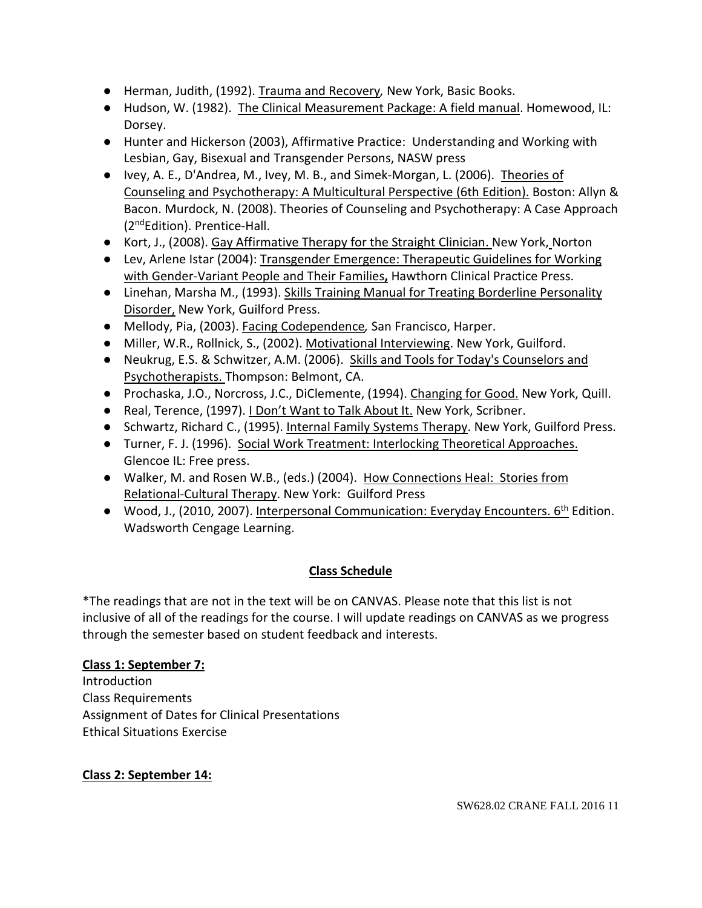- Herman, Judith, (1992). Trauma and Recovery*,* New York, Basic Books.
- Hudson, W. (1982). The Clinical Measurement Package: A field manual. Homewood, IL: Dorsey.
- Hunter and Hickerson (2003), Affirmative Practice: Understanding and Working with Lesbian, Gay, Bisexual and Transgender Persons, NASW press
- Ivey, A. E., D'Andrea, M., Ivey, M. B., and Simek-Morgan, L. (2006). Theories of Counseling and Psychotherapy: A Multicultural Perspective (6th Edition). Boston: Allyn & Bacon. Murdock, N. (2008). Theories of Counseling and Psychotherapy: A Case Approach (2ndEdition). Prentice-Hall.
- Kort, J., (2008). Gay Affirmative Therapy for the Straight Clinician. New York, Norton
- Lev, Arlene Istar (2004): Transgender Emergence: Therapeutic Guidelines for Working with Gender-Variant People and Their Families**,** Hawthorn Clinical Practice Press.
- Linehan, Marsha M., (1993). Skills Training Manual for Treating Borderline Personality Disorder, New York, Guilford Press.
- Mellody, Pia, (2003). Facing Codependence*,* San Francisco, Harper.
- Miller, W.R., Rollnick, S., (2002). Motivational Interviewing. New York, Guilford.
- Neukrug, E.S. & Schwitzer, A.M. (2006). Skills and Tools for Today's Counselors and Psychotherapists. Thompson: Belmont, CA.
- Prochaska, J.O., Norcross, J.C., DiClemente, (1994). Changing for Good. New York, Quill.
- Real, Terence, (1997). I Don't Want to Talk About It. New York, Scribner.
- Schwartz, Richard C., (1995). Internal Family Systems Therapy. New York, Guilford Press.
- Turner, F. J. (1996). Social Work Treatment: Interlocking Theoretical Approaches. Glencoe IL: Free press.
- Walker, M. and Rosen W.B., (eds.) (2004). How Connections Heal: Stories from Relational-Cultural Therapy. New York: Guilford Press
- Wood, J., (2010, 2007). Interpersonal Communication: Everyday Encounters. 6<sup>th</sup> Edition. Wadsworth Cengage Learning.

# **Class Schedule**

\*The readings that are not in the text will be on CANVAS. Please note that this list is not inclusive of all of the readings for the course. I will update readings on CANVAS as we progress through the semester based on student feedback and interests.

# **Class 1: September 7:**

Introduction Class Requirements Assignment of Dates for Clinical Presentations Ethical Situations Exercise

# **Class 2: September 14:**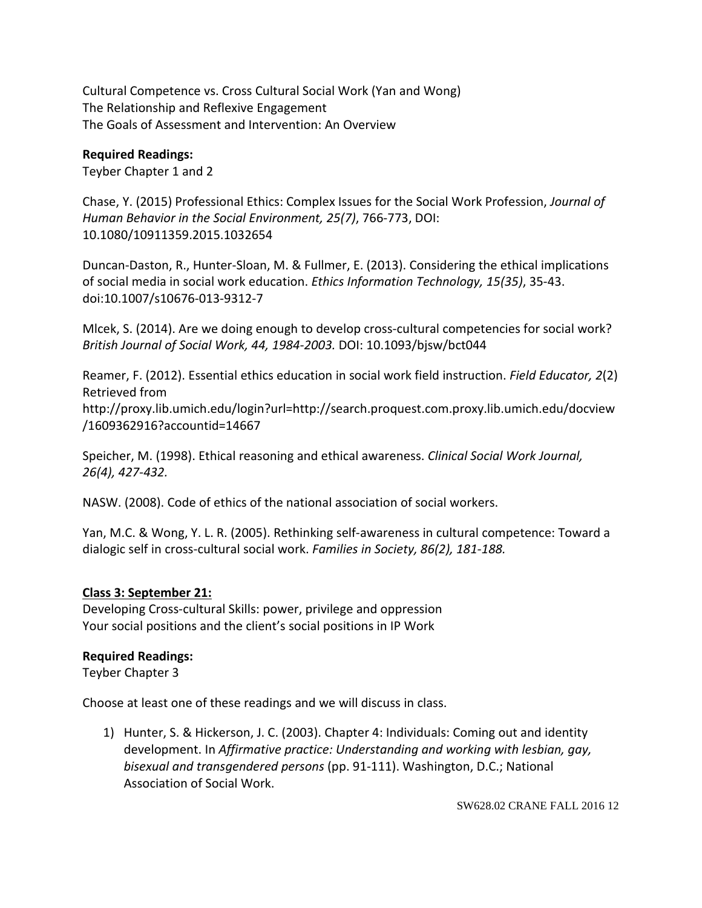Cultural Competence vs. Cross Cultural Social Work (Yan and Wong) The Relationship and Reflexive Engagement The Goals of Assessment and Intervention: An Overview

## **Required Readings:**

Teyber Chapter 1 and 2

Chase, Y. (2015) Professional Ethics: Complex Issues for the Social Work Profession, *Journal of Human Behavior in the Social Environment, 25(7)*, 766-773, DOI: 10.1080/10911359.2015.1032654

Duncan-Daston, R., Hunter-Sloan, M. & Fullmer, E. (2013). Considering the ethical implications of social media in social work education. *Ethics Information Technology, 15(35)*, 35-43. doi:10.1007/s10676-013-9312-7

Mlcek, S. (2014). Are we doing enough to develop cross-cultural competencies for social work? *British Journal of Social Work, 44, 1984-2003.* DOI: 10.1093/bjsw/bct044

Reamer, F. (2012). Essential ethics education in social work field instruction. *Field Educator, 2*(2) Retrieved from http://proxy.lib.umich.edu/login?url=http://search.proquest.com.proxy.lib.umich.edu/docview

/1609362916?accountid=14667

Speicher, M. (1998). Ethical reasoning and ethical awareness. *Clinical Social Work Journal, 26(4), 427-432.*

NASW. (2008). Code of ethics of the national association of social workers.

Yan, M.C. & Wong, Y. L. R. (2005). Rethinking self-awareness in cultural competence: Toward a dialogic self in cross-cultural social work. *Families in Society, 86(2), 181-188.*

# **Class 3: September 21:**

Developing Cross-cultural Skills: power, privilege and oppression Your social positions and the client's social positions in IP Work

### **Required Readings:**

Teyber Chapter 3

Choose at least one of these readings and we will discuss in class.

1) Hunter, S. & Hickerson, J. C. (2003). Chapter 4: Individuals: Coming out and identity development. In *Affirmative practice: Understanding and working with lesbian, gay, bisexual and transgendered persons* (pp. 91-111). Washington, D.C.; National Association of Social Work.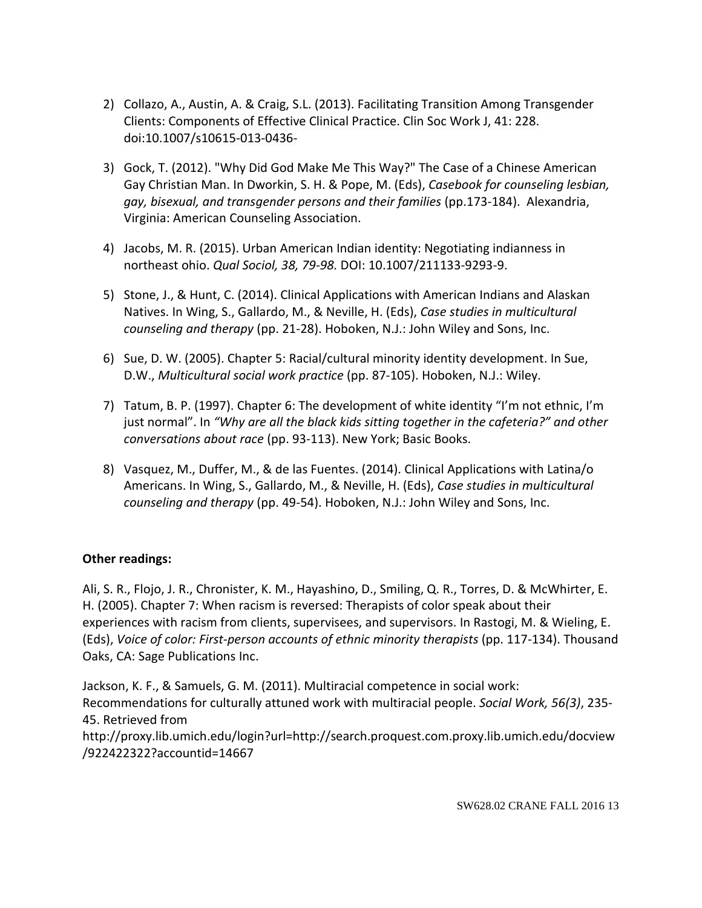- 2) Collazo, A., Austin, A. & Craig, S.L. (2013). Facilitating Transition Among Transgender Clients: Components of Effective Clinical Practice. Clin Soc Work J, 41: 228. doi:10.1007/s10615-013-0436-
- 3) Gock, T. (2012). "Why Did God Make Me This Way?" The Case of a Chinese American Gay Christian Man. In Dworkin, S. H. & Pope, M. (Eds), *Casebook for counseling lesbian, gay, bisexual, and transgender persons and their families* (pp.173-184). Alexandria, Virginia: American Counseling Association.
- 4) Jacobs, M. R. (2015). Urban American Indian identity: Negotiating indianness in northeast ohio. *Qual Sociol, 38, 79-98.* DOI: 10.1007/211133-9293-9.
- 5) Stone, J., & Hunt, C. (2014). Clinical Applications with American Indians and Alaskan Natives. In Wing, S., Gallardo, M., & Neville, H. (Eds), *Case studies in multicultural counseling and therapy* (pp. 21-28). Hoboken, N.J.: John Wiley and Sons, Inc.
- 6) Sue, D. W. (2005). Chapter 5: Racial/cultural minority identity development. In Sue, D.W., *Multicultural social work practice* (pp. 87-105). Hoboken, N.J.: Wiley.
- 7) Tatum, B. P. (1997). Chapter 6: The development of white identity "I'm not ethnic, I'm just normal". In *"Why are all the black kids sitting together in the cafeteria?" and other conversations about race* (pp. 93-113). New York; Basic Books.
- 8) Vasquez, M., Duffer, M., & de las Fuentes. (2014). Clinical Applications with Latina/o Americans. In Wing, S., Gallardo, M., & Neville, H. (Eds), *Case studies in multicultural counseling and therapy* (pp. 49-54). Hoboken, N.J.: John Wiley and Sons, Inc.

# **Other readings:**

Ali, S. R., Flojo, J. R., Chronister, K. M., Hayashino, D., Smiling, Q. R., Torres, D. & McWhirter, E. H. (2005). Chapter 7: When racism is reversed: Therapists of color speak about their experiences with racism from clients, supervisees, and supervisors. In Rastogi, M. & Wieling, E. (Eds), *Voice of color: First-person accounts of ethnic minority therapists* (pp. 117-134). Thousand Oaks, CA: Sage Publications Inc.

Jackson, K. F., & Samuels, G. M. (2011). Multiracial competence in social work: Recommendations for culturally attuned work with multiracial people. *Social Work, 56(3)*, 235- 45. Retrieved from http://proxy.lib.umich.edu/login?url=http://search.proquest.com.proxy.lib.umich.edu/docview /922422322?accountid=14667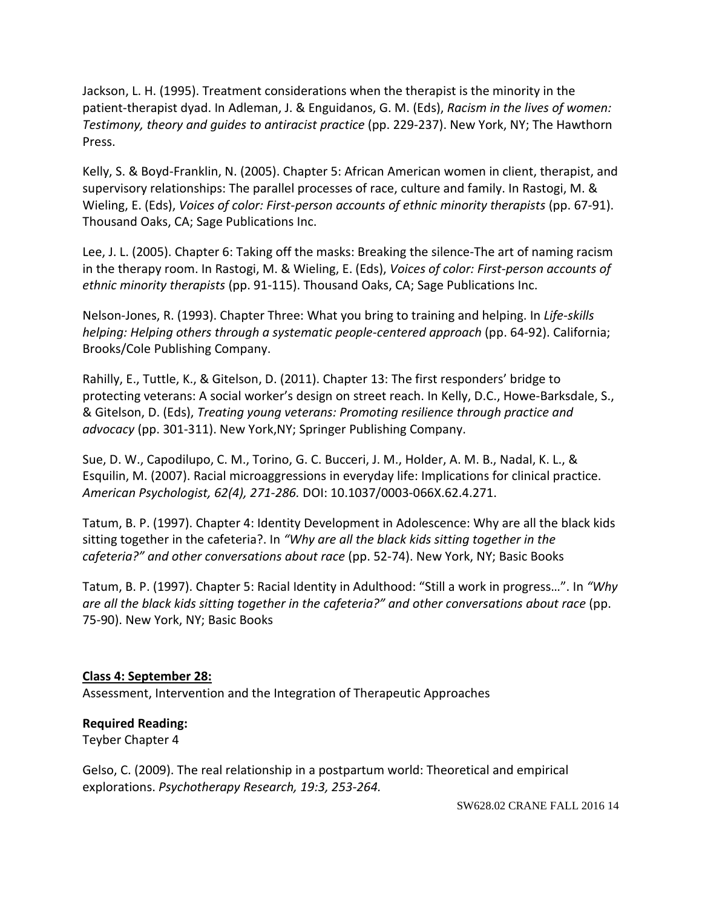Jackson, L. H. (1995). Treatment considerations when the therapist is the minority in the patient-therapist dyad. In Adleman, J. & Enguidanos, G. M. (Eds), *Racism in the lives of women: Testimony, theory and guides to antiracist practice* (pp. 229-237). New York, NY; The Hawthorn Press.

Kelly, S. & Boyd-Franklin, N. (2005). Chapter 5: African American women in client, therapist, and supervisory relationships: The parallel processes of race, culture and family. In Rastogi, M. & Wieling, E. (Eds), *Voices of color: First-person accounts of ethnic minority therapists* (pp. 67-91). Thousand Oaks, CA; Sage Publications Inc.

Lee, J. L. (2005). Chapter 6: Taking off the masks: Breaking the silence-The art of naming racism in the therapy room. In Rastogi, M. & Wieling, E. (Eds), *Voices of color: First-person accounts of ethnic minority therapists* (pp. 91-115). Thousand Oaks, CA; Sage Publications Inc.

Nelson-Jones, R. (1993). Chapter Three: What you bring to training and helping. In *Life-skills helping: Helping others through a systematic people-centered approach* (pp. 64-92). California; Brooks/Cole Publishing Company.

Rahilly, E., Tuttle, K., & Gitelson, D. (2011). Chapter 13: The first responders' bridge to protecting veterans: A social worker's design on street reach. In Kelly, D.C., Howe-Barksdale, S., & Gitelson, D. (Eds), *Treating young veterans: Promoting resilience through practice and advocacy* (pp. 301-311). New York,NY; Springer Publishing Company.

Sue, D. W., Capodilupo, C. M., Torino, G. C. Bucceri, J. M., Holder, A. M. B., Nadal, K. L., & Esquilin, M. (2007). Racial microaggressions in everyday life: Implications for clinical practice. *American Psychologist, 62(4), 271-286.* DOI: 10.1037/0003-066X.62.4.271.

Tatum, B. P. (1997). Chapter 4: Identity Development in Adolescence: Why are all the black kids sitting together in the cafeteria?. In *"Why are all the black kids sitting together in the cafeteria?" and other conversations about race* (pp. 52-74). New York, NY; Basic Books

Tatum, B. P. (1997). Chapter 5: Racial Identity in Adulthood: "Still a work in progress…". In *"Why are all the black kids sitting together in the cafeteria?" and other conversations about race* (pp. 75-90). New York, NY; Basic Books

### **Class 4: September 28:**

Assessment, Intervention and the Integration of Therapeutic Approaches

# **Required Reading:**

Teyber Chapter 4

Gelso, C. (2009). The real relationship in a postpartum world: Theoretical and empirical explorations. *Psychotherapy Research, 19:3, 253-264.*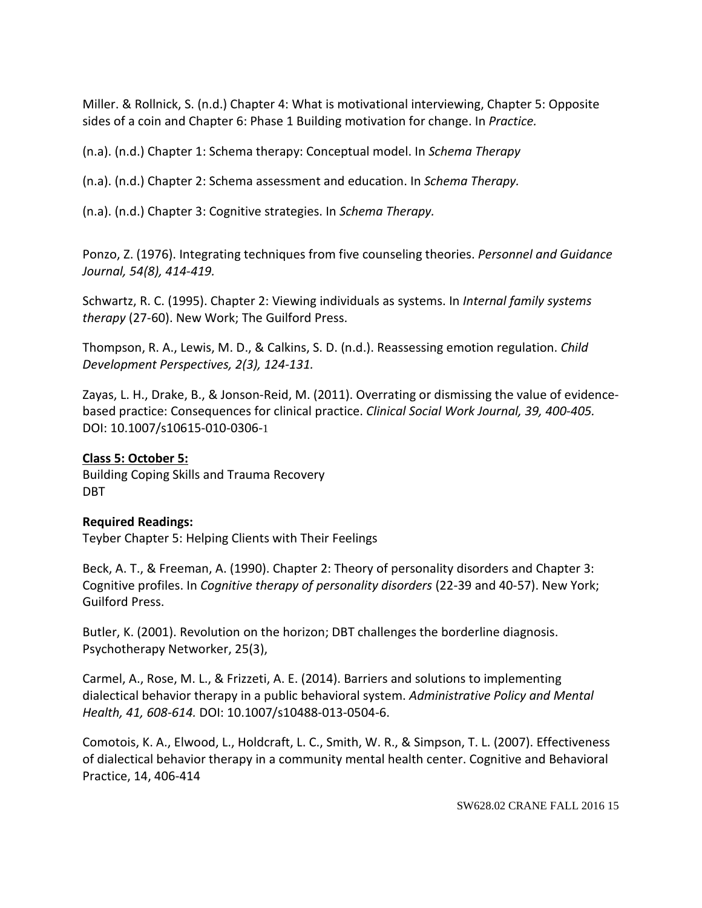Miller. & Rollnick, S. (n.d.) Chapter 4: What is motivational interviewing, Chapter 5: Opposite sides of a coin and Chapter 6: Phase 1 Building motivation for change. In *Practice.*

(n.a). (n.d.) Chapter 1: Schema therapy: Conceptual model. In *Schema Therapy*

(n.a). (n.d.) Chapter 2: Schema assessment and education. In *Schema Therapy.* 

(n.a). (n.d.) Chapter 3: Cognitive strategies. In *Schema Therapy.* 

Ponzo, Z. (1976). Integrating techniques from five counseling theories. *Personnel and Guidance Journal, 54(8), 414-419.*

Schwartz, R. C. (1995). Chapter 2: Viewing individuals as systems. In *Internal family systems therapy* (27-60). New Work; The Guilford Press.

Thompson, R. A., Lewis, M. D., & Calkins, S. D. (n.d.). Reassessing emotion regulation. *Child Development Perspectives, 2(3), 124-131.*

Zayas, L. H., Drake, B., & Jonson-Reid, M. (2011). Overrating or dismissing the value of evidencebased practice: Consequences for clinical practice. *Clinical Social Work Journal, 39, 400-405.*  DOI: 10.1007/s10615-010-0306-1

### **Class 5: October 5:**

Building Coping Skills and Trauma Recovery DBT

### **Required Readings:**

Teyber Chapter 5: Helping Clients with Their Feelings

Beck, A. T., & Freeman, A. (1990). Chapter 2: Theory of personality disorders and Chapter 3: Cognitive profiles. In *Cognitive therapy of personality disorders* (22-39 and 40-57). New York; Guilford Press.

Butler, K. (2001). Revolution on the horizon; DBT challenges the borderline diagnosis. Psychotherapy Networker, 25(3),

Carmel, A., Rose, M. L., & Frizzeti, A. E. (2014). Barriers and solutions to implementing dialectical behavior therapy in a public behavioral system. *Administrative Policy and Mental Health, 41, 608-614.* DOI: 10.1007/s10488-013-0504-6.

Comotois, K. A., Elwood, L., Holdcraft, L. C., Smith, W. R., & Simpson, T. L. (2007). Effectiveness of dialectical behavior therapy in a community mental health center. Cognitive and Behavioral Practice, 14, 406-414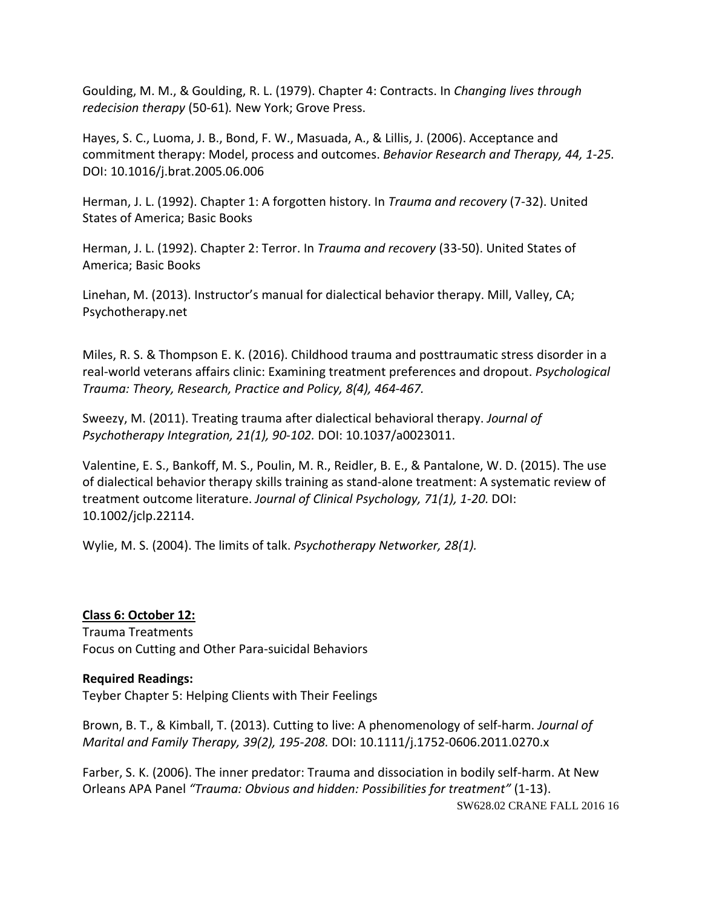Goulding, M. M., & Goulding, R. L. (1979). Chapter 4: Contracts. In *Changing lives through redecision therapy* (50-61)*.* New York; Grove Press.

Hayes, S. C., Luoma, J. B., Bond, F. W., Masuada, A., & Lillis, J. (2006). Acceptance and commitment therapy: Model, process and outcomes. *Behavior Research and Therapy, 44, 1-25.*  DOI: 10.1016/j.brat.2005.06.006

Herman, J. L. (1992). Chapter 1: A forgotten history. In *Trauma and recovery* (7-32). United States of America; Basic Books

Herman, J. L. (1992). Chapter 2: Terror. In *Trauma and recovery* (33-50). United States of America; Basic Books

Linehan, M. (2013). Instructor's manual for dialectical behavior therapy. Mill, Valley, CA; Psychotherapy.net

Miles, R. S. & Thompson E. K. (2016). Childhood trauma and posttraumatic stress disorder in a real-world veterans affairs clinic: Examining treatment preferences and dropout. *Psychological Trauma: Theory, Research, Practice and Policy, 8(4), 464-467.* 

Sweezy, M. (2011). Treating trauma after dialectical behavioral therapy. *Journal of Psychotherapy Integration, 21(1), 90-102.* DOI: 10.1037/a0023011.

Valentine, E. S., Bankoff, M. S., Poulin, M. R., Reidler, B. E., & Pantalone, W. D. (2015). The use of dialectical behavior therapy skills training as stand-alone treatment: A systematic review of treatment outcome literature. *Journal of Clinical Psychology, 71(1), 1-20.* DOI: 10.1002/jclp.22114.

Wylie, M. S. (2004). The limits of talk. *Psychotherapy Networker, 28(1).*

### **Class 6: October 12:**

Trauma Treatments Focus on Cutting and Other Para-suicidal Behaviors

### **Required Readings:**

Teyber Chapter 5: Helping Clients with Their Feelings

Brown, B. T., & Kimball, T. (2013). Cutting to live: A phenomenology of self-harm. *Journal of Marital and Family Therapy, 39(2), 195-208.* DOI: 10.1111/j.1752-0606.2011.0270.x

SW628.02 CRANE FALL 2016 16 Farber, S. K. (2006). The inner predator: Trauma and dissociation in bodily self-harm. At New Orleans APA Panel *"Trauma: Obvious and hidden: Possibilities for treatment"* (1-13).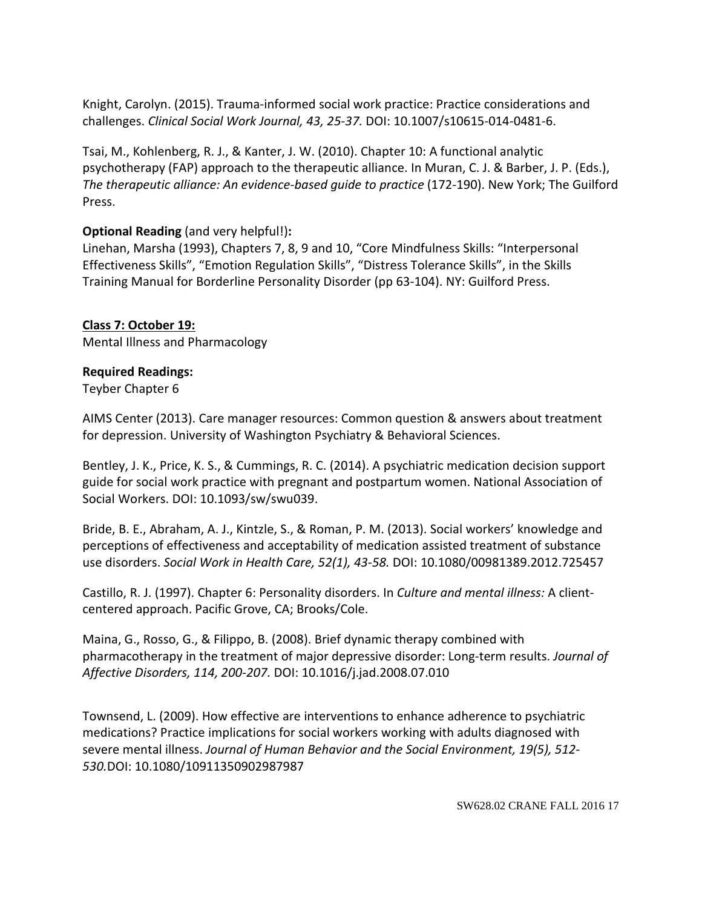Knight, Carolyn. (2015). Trauma-informed social work practice: Practice considerations and challenges. *Clinical Social Work Journal, 43, 25-37.* DOI: 10.1007/s10615-014-0481-6.

Tsai, M., Kohlenberg, R. J., & Kanter, J. W. (2010). Chapter 10: A functional analytic psychotherapy (FAP) approach to the therapeutic alliance. In Muran, C. J. & Barber, J. P. (Eds.), *The therapeutic alliance: An evidence-based guide to practice* (172-190). New York; The Guilford Press.

# **Optional Reading** (and very helpful!)**:**

Linehan, Marsha (1993), Chapters 7, 8, 9 and 10, "Core Mindfulness Skills: "Interpersonal Effectiveness Skills", "Emotion Regulation Skills", "Distress Tolerance Skills", in the Skills Training Manual for Borderline Personality Disorder (pp 63-104). NY: Guilford Press.

# **Class 7: October 19:**

Mental Illness and Pharmacology

# **Required Readings:**

Teyber Chapter 6

AIMS Center (2013). Care manager resources: Common question & answers about treatment for depression. University of Washington Psychiatry & Behavioral Sciences.

Bentley, J. K., Price, K. S., & Cummings, R. C. (2014). A psychiatric medication decision support guide for social work practice with pregnant and postpartum women. National Association of Social Workers. DOI: 10.1093/sw/swu039.

Bride, B. E., Abraham, A. J., Kintzle, S., & Roman, P. M. (2013). Social workers' knowledge and perceptions of effectiveness and acceptability of medication assisted treatment of substance use disorders. *Social Work in Health Care, 52(1), 43-58.* DOI: 10.1080/00981389.2012.725457

Castillo, R. J. (1997). Chapter 6: Personality disorders. In *Culture and mental illness:* A clientcentered approach. Pacific Grove, CA; Brooks/Cole.

Maina, G., Rosso, G., & Filippo, B. (2008). Brief dynamic therapy combined with pharmacotherapy in the treatment of major depressive disorder: Long-term results. *Journal of Affective Disorders, 114, 200-207.* DOI: 10.1016/j.jad.2008.07.010

Townsend, L. (2009). How effective are interventions to enhance adherence to psychiatric medications? Practice implications for social workers working with adults diagnosed with severe mental illness. *Journal of Human Behavior and the Social Environment, 19(5), 512- 530.*DOI: 10.1080/10911350902987987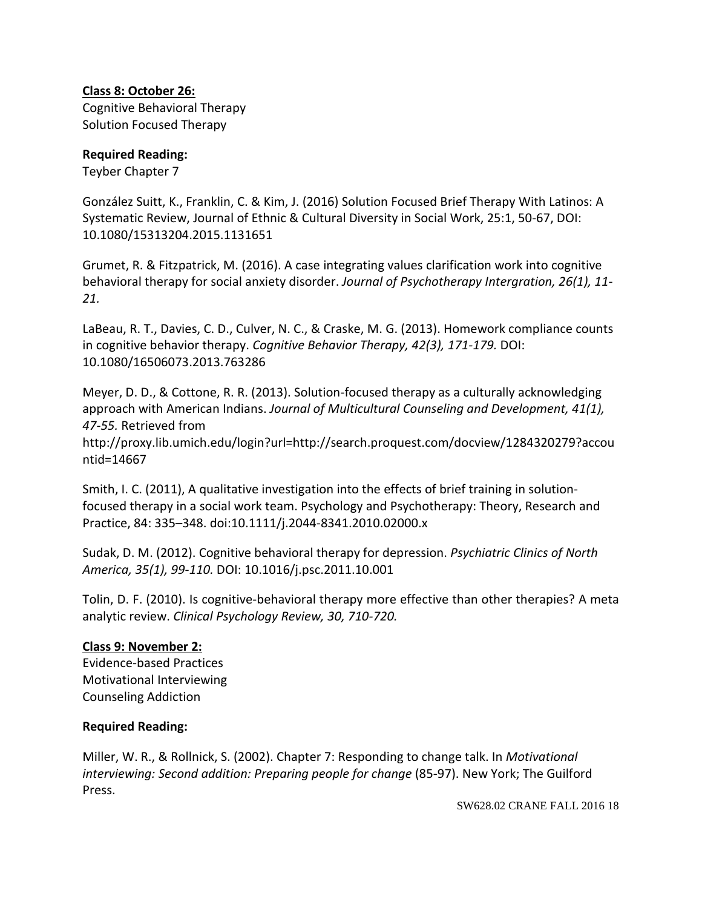## **Class 8: October 26:**

Cognitive Behavioral Therapy Solution Focused Therapy

## **Required Reading:**

Teyber Chapter 7

González Suitt, K., Franklin, C. & Kim, J. (2016) Solution Focused Brief Therapy With Latinos: A Systematic Review, Journal of Ethnic & Cultural Diversity in Social Work, 25:1, 50-67, DOI: 10.1080/15313204.2015.1131651

Grumet, R. & Fitzpatrick, M. (2016). A case integrating values clarification work into cognitive behavioral therapy for social anxiety disorder. *Journal of Psychotherapy Intergration, 26(1), 11- 21.* 

LaBeau, R. T., Davies, C. D., Culver, N. C., & Craske, M. G. (2013). Homework compliance counts in cognitive behavior therapy. *Cognitive Behavior Therapy, 42(3), 171-179.* DOI: 10.1080/16506073.2013.763286

Meyer, D. D., & Cottone, R. R. (2013). Solution-focused therapy as a culturally acknowledging approach with American Indians. *Journal of Multicultural Counseling and Development, 41(1), 47-55.* Retrieved from

http://proxy.lib.umich.edu/login?url=http://search.proquest.com/docview/1284320279?accou ntid=14667

Smith, I. C. (2011), A qualitative investigation into the effects of brief training in solutionfocused therapy in a social work team. Psychology and Psychotherapy: Theory, Research and Practice, 84: 335–348. doi:10.1111/j.2044-8341.2010.02000.x

Sudak, D. M. (2012). Cognitive behavioral therapy for depression. *Psychiatric Clinics of North America, 35(1), 99-110.* DOI: 10.1016/j.psc.2011.10.001

Tolin, D. F. (2010). Is cognitive-behavioral therapy more effective than other therapies? A meta analytic review. *Clinical Psychology Review, 30, 710-720.*

# **Class 9: November 2:**

Evidence-based Practices Motivational Interviewing Counseling Addiction

### **Required Reading:**

Miller, W. R., & Rollnick, S. (2002). Chapter 7: Responding to change talk. In *Motivational interviewing: Second addition: Preparing people for change* (85-97). New York; The Guilford Press.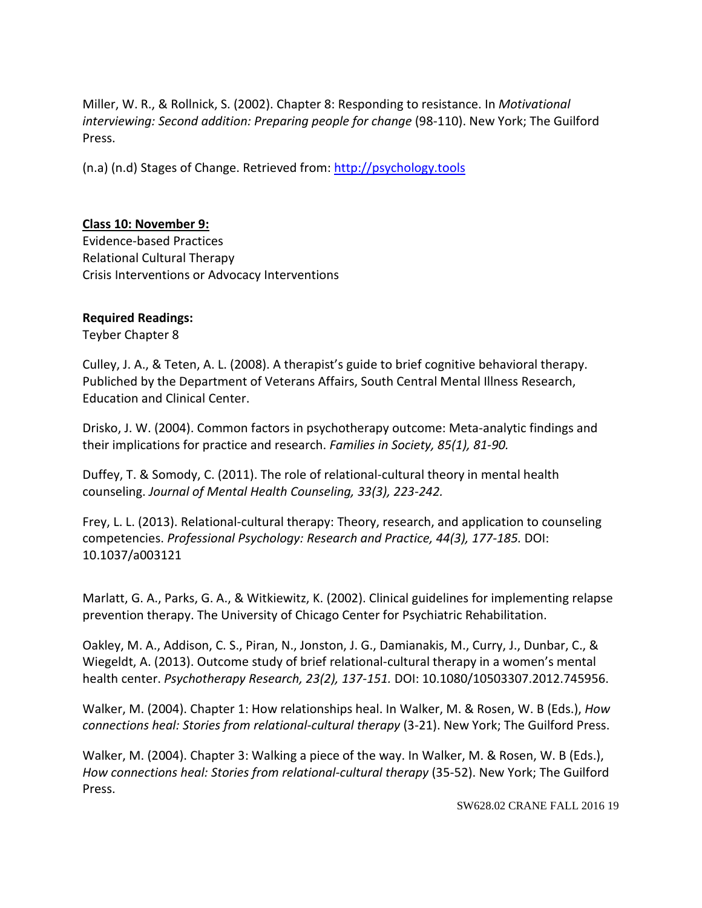Miller, W. R., & Rollnick, S. (2002). Chapter 8: Responding to resistance. In *Motivational*  interviewing: Second addition: Preparing people for change (98-110). New York; The Guilford Press.

(n.a) (n.d) Stages of Change. Retrieved from: [http://psychology.tools](http://psychology.tools/)

# **Class 10: November 9:**

Evidence-based Practices Relational Cultural Therapy Crisis Interventions or Advocacy Interventions

## **Required Readings:**

Teyber Chapter 8

Culley, J. A., & Teten, A. L. (2008). A therapist's guide to brief cognitive behavioral therapy. Publiched by the Department of Veterans Affairs, South Central Mental Illness Research, Education and Clinical Center.

Drisko, J. W. (2004). Common factors in psychotherapy outcome: Meta-analytic findings and their implications for practice and research. *Families in Society, 85(1), 81-90.*

Duffey, T. & Somody, C. (2011). The role of relational-cultural theory in mental health counseling. *Journal of Mental Health Counseling, 33(3), 223-242.*

Frey, L. L. (2013). Relational-cultural therapy: Theory, research, and application to counseling competencies. *Professional Psychology: Research and Practice, 44(3), 177-185.* DOI: 10.1037/a003121

Marlatt, G. A., Parks, G. A., & Witkiewitz, K. (2002). Clinical guidelines for implementing relapse prevention therapy. The University of Chicago Center for Psychiatric Rehabilitation.

Oakley, M. A., Addison, C. S., Piran, N., Jonston, J. G., Damianakis, M., Curry, J., Dunbar, C., & Wiegeldt, A. (2013). Outcome study of brief relational-cultural therapy in a women's mental health center. *Psychotherapy Research, 23(2), 137-151.* DOI: 10.1080/10503307.2012.745956.

Walker, M. (2004). Chapter 1: How relationships heal. In Walker, M. & Rosen, W. B (Eds.), *How connections heal: Stories from relational-cultural therapy* (3-21). New York; The Guilford Press.

Walker, M. (2004). Chapter 3: Walking a piece of the way. In Walker, M. & Rosen, W. B (Eds.), *How connections heal: Stories from relational-cultural therapy* (35-52). New York; The Guilford Press.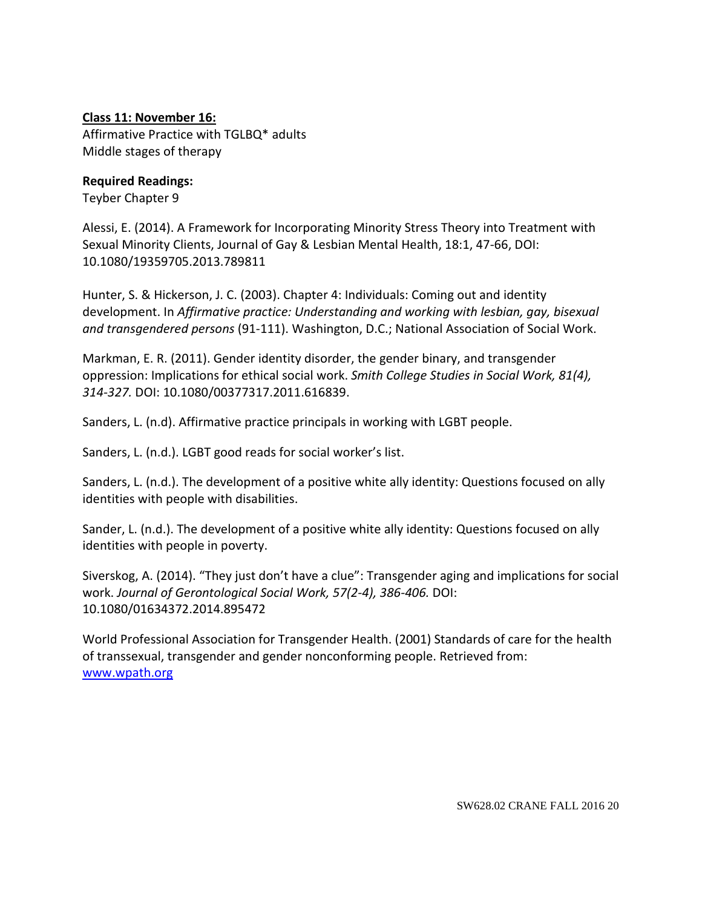## **Class 11: November 16:**

Affirmative Practice with TGLBQ\* adults Middle stages of therapy

### **Required Readings:**

Teyber Chapter 9

Alessi, E. (2014). A Framework for Incorporating Minority Stress Theory into Treatment with Sexual Minority Clients, Journal of Gay & Lesbian Mental Health, 18:1, 47-66, DOI: 10.1080/19359705.2013.789811

Hunter, S. & Hickerson, J. C. (2003). Chapter 4: Individuals: Coming out and identity development. In *Affirmative practice: Understanding and working with lesbian, gay, bisexual and transgendered persons* (91-111). Washington, D.C.; National Association of Social Work.

Markman, E. R. (2011). Gender identity disorder, the gender binary, and transgender oppression: Implications for ethical social work. *Smith College Studies in Social Work, 81(4), 314-327.* DOI: 10.1080/00377317.2011.616839.

Sanders, L. (n.d). Affirmative practice principals in working with LGBT people.

Sanders, L. (n.d.). LGBT good reads for social worker's list.

Sanders, L. (n.d.). The development of a positive white ally identity: Questions focused on ally identities with people with disabilities.

Sander, L. (n.d.). The development of a positive white ally identity: Questions focused on ally identities with people in poverty.

Siverskog, A. (2014). "They just don't have a clue": Transgender aging and implications for social work. *Journal of Gerontological Social Work, 57(2-4), 386-406.* DOI: 10.1080/01634372.2014.895472

World Professional Association for Transgender Health. (2001) Standards of care for the health of transsexual, transgender and gender nonconforming people. Retrieved from: [www.wpath.org](http://www.wpath.org/)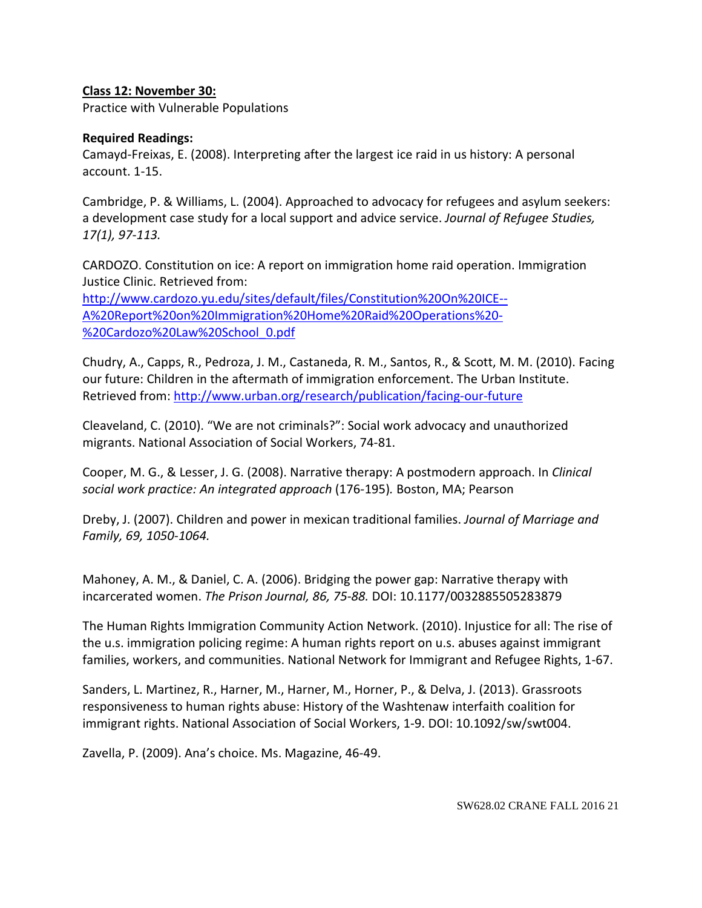## **Class 12: November 30:**

Practice with Vulnerable Populations

### **Required Readings:**

Camayd-Freixas, E. (2008). Interpreting after the largest ice raid in us history: A personal account. 1-15.

Cambridge, P. & Williams, L. (2004). Approached to advocacy for refugees and asylum seekers: a development case study for a local support and advice service. *Journal of Refugee Studies, 17(1), 97-113.*

CARDOZO. Constitution on ice: A report on immigration home raid operation. Immigration Justice Clinic. Retrieved from: [http://www.cardozo.yu.edu/sites/default/files/Constitution%20On%20ICE--](http://www.cardozo.yu.edu/sites/default/files/Constitution%20On%20ICE--A%20Report%20on%20Immigration%20Home%20Raid%20Operations%20-%20Cardozo%20Law%20School_0.pdf) [A%20Report%20on%20Immigration%20Home%20Raid%20Operations%20-](http://www.cardozo.yu.edu/sites/default/files/Constitution%20On%20ICE--A%20Report%20on%20Immigration%20Home%20Raid%20Operations%20-%20Cardozo%20Law%20School_0.pdf)

[%20Cardozo%20Law%20School\\_0.pdf](http://www.cardozo.yu.edu/sites/default/files/Constitution%20On%20ICE--A%20Report%20on%20Immigration%20Home%20Raid%20Operations%20-%20Cardozo%20Law%20School_0.pdf)

Chudry, A., Capps, R., Pedroza, J. M., Castaneda, R. M., Santos, R., & Scott, M. M. (2010). Facing our future: Children in the aftermath of immigration enforcement. The Urban Institute. Retrieved from:<http://www.urban.org/research/publication/facing-our-future>

Cleaveland, C. (2010). "We are not criminals?": Social work advocacy and unauthorized migrants. National Association of Social Workers, 74-81.

Cooper, M. G., & Lesser, J. G. (2008). Narrative therapy: A postmodern approach. In *Clinical social work practice: An integrated approach* (176-195)*.* Boston, MA; Pearson

Dreby, J. (2007). Children and power in mexican traditional families. *Journal of Marriage and Family, 69, 1050-1064.*

Mahoney, A. M., & Daniel, C. A. (2006). Bridging the power gap: Narrative therapy with incarcerated women. *The Prison Journal, 86, 75-88.* DOI: 10.1177/0032885505283879

The Human Rights Immigration Community Action Network. (2010). Injustice for all: The rise of the u.s. immigration policing regime: A human rights report on u.s. abuses against immigrant families, workers, and communities. National Network for Immigrant and Refugee Rights, 1-67.

Sanders, L. Martinez, R., Harner, M., Harner, M., Horner, P., & Delva, J. (2013). Grassroots responsiveness to human rights abuse: History of the Washtenaw interfaith coalition for immigrant rights. National Association of Social Workers, 1-9. DOI: 10.1092/sw/swt004.

Zavella, P. (2009). Ana's choice. Ms. Magazine, 46-49.